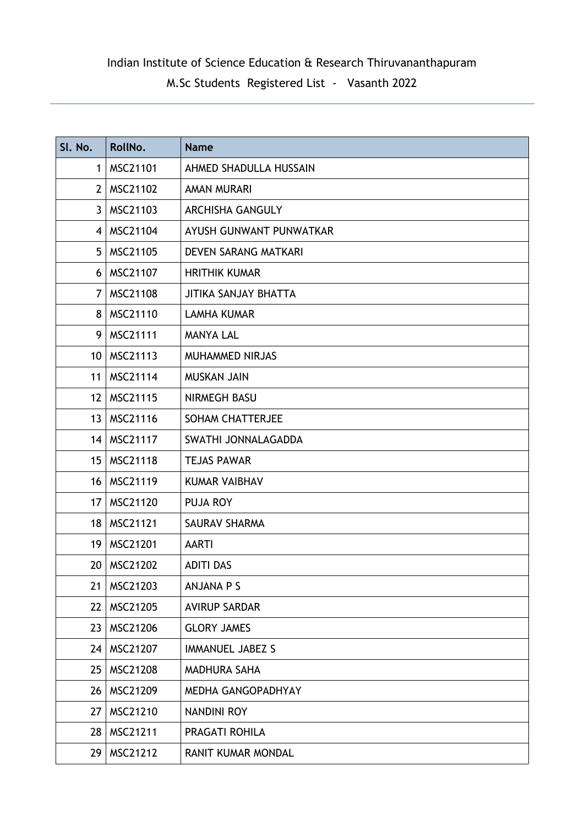## Indian Institute of Science Education & Research Thiruvananthapuram

# M.Sc Students Registered List - Vasanth 2022

| SI. No.         | RollNo.         | <b>Name</b>                 |
|-----------------|-----------------|-----------------------------|
| $\mathbf 1$     | MSC21101        | AHMED SHADULLA HUSSAIN      |
| 2               | MSC21102        | <b>AMAN MURARI</b>          |
| $\mathbf{3}$    | MSC21103        | <b>ARCHISHA GANGULY</b>     |
|                 | 4   MSC21104    | AYUSH GUNWANT PUNWATKAR     |
| 5               | MSC21105        | <b>DEVEN SARANG MATKARI</b> |
| 6               | MSC21107        | <b>HRITHIK KUMAR</b>        |
| 7               | <b>MSC21108</b> | <b>JITIKA SANJAY BHATTA</b> |
| 8               | MSC21110        | <b>LAMHA KUMAR</b>          |
| 9               | MSC21111        | <b>MANYA LAL</b>            |
|                 | 10   MSC21113   | <b>MUHAMMED NIRJAS</b>      |
| 11              | <b>MSC21114</b> | <b>MUSKAN JAIN</b>          |
| 12 <sup>2</sup> | MSC21115        | NIRMEGH BASU                |
|                 | 13   MSC21116   | <b>SOHAM CHATTERJEE</b>     |
|                 | 14   MSC21117   | SWATHI JONNALAGADDA         |
| 15 <sub>1</sub> | MSC21118        | <b>TEJAS PAWAR</b>          |
| 16              | MSC21119        | <b>KUMAR VAIBHAV</b>        |
| 17              | MSC21120        | <b>PUJA ROY</b>             |
| 18              | MSC21121        | <b>SAURAV SHARMA</b>        |
|                 | 19   MSC21201   | <b>AARTI</b>                |
| 20              | MSC21202        | <b>ADITI DAS</b>            |
| 21              | MSC21203        | <b>ANJANA P S</b>           |
| 22              | MSC21205        | <b>AVIRUP SARDAR</b>        |
| 23              | MSC21206        | <b>GLORY JAMES</b>          |
| 24              | MSC21207        | <b>IMMANUEL JABEZ S</b>     |
| 25              | MSC21208        | <b>MADHURA SAHA</b>         |
| 26              | MSC21209        | MEDHA GANGOPADHYAY          |
| 27              | MSC21210        | <b>NANDINI ROY</b>          |
| 28              | MSC21211        | PRAGATI ROHILA              |
| 29              | MSC21212        | RANIT KUMAR MONDAL          |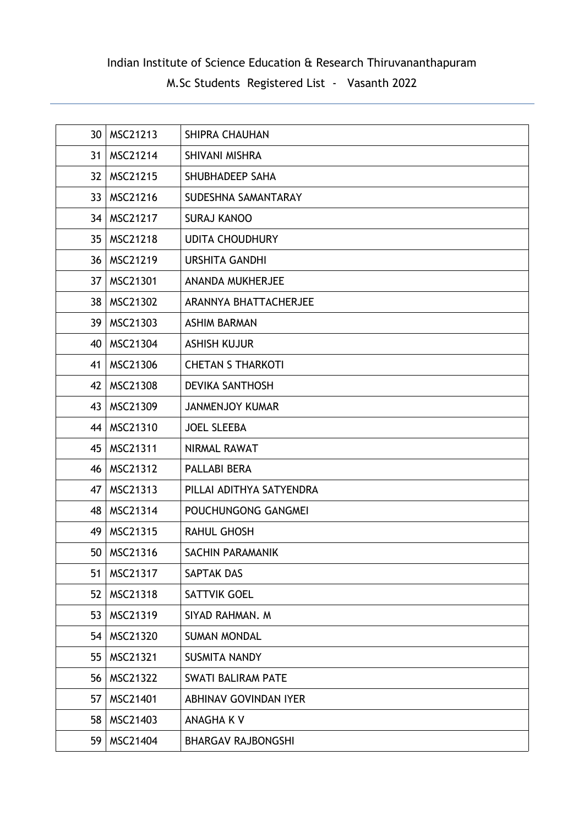## Indian Institute of Science Education & Research Thiruvananthapuram

# M.Sc Students Registered List - Vasanth 2022

| 30              | MSC21213      | <b>SHIPRA CHAUHAN</b>     |
|-----------------|---------------|---------------------------|
| 31              | MSC21214      | SHIVANI MISHRA            |
|                 | 32   MSC21215 | SHUBHADEEP SAHA           |
|                 | 33   MSC21216 | SUDESHNA SAMANTARAY       |
|                 | 34   MSC21217 | <b>SURAJ KANOO</b>        |
| 35 <sub>1</sub> | MSC21218      | <b>UDITA CHOUDHURY</b>    |
|                 | 36   MSC21219 | <b>URSHITA GANDHI</b>     |
|                 | 37   MSC21301 | ANANDA MUKHERJEE          |
|                 | 38   MSC21302 | ARANNYA BHATTACHERJEE     |
|                 | 39   MSC21303 | <b>ASHIM BARMAN</b>       |
| 40              | MSC21304      | <b>ASHISH KUJUR</b>       |
| 41              | MSC21306      | <b>CHETAN S THARKOTI</b>  |
| 42              | MSC21308      | <b>DEVIKA SANTHOSH</b>    |
|                 | 43   MSC21309 | <b>JANMENJOY KUMAR</b>    |
|                 | 44   MSC21310 | <b>JOEL SLEEBA</b>        |
| 45              | MSC21311      | NIRMAL RAWAT              |
|                 | 46   MSC21312 | PALLABI BERA              |
| 47              | MSC21313      | PILLAI ADITHYA SATYENDRA  |
| 48              | MSC21314      | POUCHUNGONG GANGMEI       |
| 49              | MSC21315      | <b>RAHUL GHOSH</b>        |
|                 | 50   MSC21316 | SACHIN PARAMANIK          |
| 51              | MSC21317      | <b>SAPTAK DAS</b>         |
| 52              | MSC21318      | <b>SATTVIK GOEL</b>       |
| 53              | MSC21319      | SIYAD RAHMAN, M           |
|                 | 54   MSC21320 | <b>SUMAN MONDAL</b>       |
| 55              | MSC21321      | <b>SUSMITA NANDY</b>      |
| 56              | MSC21322      | <b>SWATI BALIRAM PATE</b> |
| 57              | MSC21401      | ABHINAV GOVINDAN IYER     |
| 58              | MSC21403      | <b>ANAGHA KV</b>          |
| 59              | MSC21404      | <b>BHARGAV RAJBONGSHI</b> |